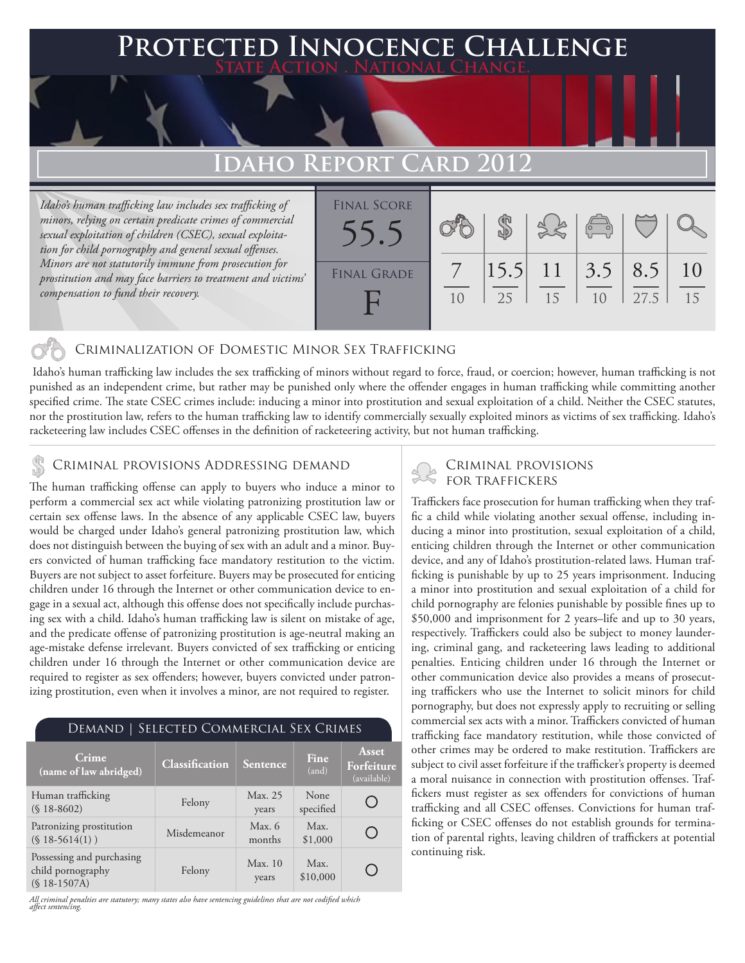## **Protected Innocence Challenge State Action . National Change.**

# **Idaho Report Card 2012**

*Idaho's human trafficking law includes sex trafficking of minors, relying on certain predicate crimes of commercial sexual exploitation of children (CSEC), sexual exploitation for child pornography and general sexual offenses. Minors are not statutorily immune from prosecution for prostitution and may face barriers to treatment and victims' compensation to fund their recovery.*



## Criminalization of Domestic Minor Sex Trafficking

 Idaho's human trafficking law includes the sex trafficking of minors without regard to force, fraud, or coercion; however, human trafficking is not punished as an independent crime, but rather may be punished only where the offender engages in human trafficking while committing another specified crime. The state CSEC crimes include: inducing a minor into prostitution and sexual exploitation of a child. Neither the CSEC statutes, nor the prostitution law, refers to the human trafficking law to identify commercially sexually exploited minors as victims of sex trafficking. Idaho's racketeering law includes CSEC offenses in the definition of racketeering activity, but not human trafficking.

# CRIMINAL PROVISIONS ADDRESSING DEMAND<br>
FOR TRAFFICKERS

The human trafficking offense can apply to buyers who induce a minor to perform a commercial sex act while violating patronizing prostitution law or certain sex offense laws. In the absence of any applicable CSEC law, buyers would be charged under Idaho's general patronizing prostitution law, which does not distinguish between the buying of sex with an adult and a minor. Buyers convicted of human trafficking face mandatory restitution to the victim. Buyers are not subject to asset forfeiture. Buyers may be prosecuted for enticing children under 16 through the Internet or other communication device to engage in a sexual act, although this offense does not specifically include purchasing sex with a child. Idaho's human trafficking law is silent on mistake of age, and the predicate offense of patronizing prostitution is age-neutral making an age-mistake defense irrelevant. Buyers convicted of sex trafficking or enticing children under 16 through the Internet or other communication device are required to register as sex offenders; however, buyers convicted under patronizing prostitution, even when it involves a minor, are not required to register.

### Demand | Selected Commercial Sex Crimes **Asset Crime (name of law abridged) Classification Sentence Fine Forfeiture**  (and) (available) None Human trafficking (§ 18-8602) Felony Max. 25 O specified years Patronizing prostitution Misdemeanor Max. 6<br>
(§ 18-5614(1)) Misdemeanor months Max.  $\bigcap$ months \$1,000 Possessing and purchasing Felony Max. 10 Max. O child pornography \$10,000years (§ 18-1507A)

*All criminal penalties are statutory; many states also have sentencing guidelines that are not codified which affect sentencing.* 

Traffickers face prosecution for human trafficking when they traffic a child while violating another sexual offense, including inducing a minor into prostitution, sexual exploitation of a child, enticing children through the Internet or other communication device, and any of Idaho's prostitution-related laws. Human trafficking is punishable by up to 25 years imprisonment. Inducing a minor into prostitution and sexual exploitation of a child for child pornography are felonies punishable by possible fines up to \$50,000 and imprisonment for 2 years–life and up to 30 years, respectively. Traffickers could also be subject to money laundering, criminal gang, and racketeering laws leading to additional penalties. Enticing children under 16 through the Internet or other communication device also provides a means of prosecuting traffickers who use the Internet to solicit minors for child pornography, but does not expressly apply to recruiting or selling commercial sex acts with a minor. Traffickers convicted of human trafficking face mandatory restitution, while those convicted of other crimes may be ordered to make restitution. Traffickers are subject to civil asset forfeiture if the trafficker's property is deemed a moral nuisance in connection with prostitution offenses. Traffickers must register as sex offenders for convictions of human trafficking and all CSEC offenses. Convictions for human trafficking or CSEC offenses do not establish grounds for termination of parental rights, leaving children of traffickers at potential continuing risk.